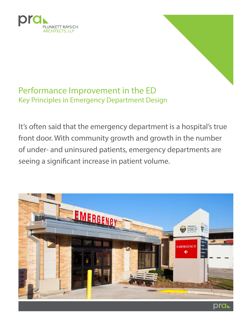



# Performance Improvement in the ED Key Principles in Emergency Department Design

It's often said that the emergency department is a hospital's true front door. With community growth and growth in the number of under- and uninsured patients, emergency departments are seeing a significant increase in patient volume.

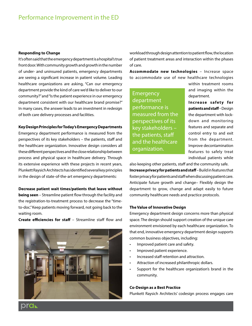#### **Responding to Change**

It's often said that the emergency department is a hospital's true front door. With community growth and growth in the number of under- and uninsured patients, emergency departments are seeing a significant increase in patient volume. Leading healthcare organizations are asking, "Can our emergency department provide the kind of care we'd like to deliver to our community?" and "Is the patient experience in our emergency department consistent with our healthcare brand promise?" In many cases, the answer leads to an investment in redesign of both care delivery processes and facilities.

#### **Key Design Principles for Today's Emergency Departments**

Emergency department performance is measured from the perspectives of its key stakeholders – the patients, staff and the healthcare organization. Innovative design considers all these different perspectives and the close relationship between process and physical space in healthcare delivery. Through its extensive experience with these projects in recent years, Plunkett Raysich Architects has identified several key principles in the design of state-of-the-art emergency departments:

#### **Decrease patient wait times/patients that leave without**

**being seen** – Streamline patient flow through the facility and the registration-to-treatment process to decrease the "timeto-doc." Keep patients moving forward, not going back to the waiting room.

**Create efficiencies for staff** – Streamline staff flow and



workload through design attention to patient flow, the location of patient treatment areas and interaction within the phases of care.

**Accommodate new technologies** – Increase space to accommodate use of new healthcare technologies

Emergency department performance is measured from the perspectives of its key stakeholders – the patients, staff and the healthcare organization.

within treatment rooms and imaging within the department.

**Increase safety for patients and staff** – Design the department with lockdown and monitoring features and separate and control entry to and exit from the department. Improve decontamination features to safely treat individual patients while

also keeping other patients, staff and the community safe. **Increase privacy for patients and staff** – Build in features that foster privacy for patients and staff when discussing patient care. Anticipate future growth and change– Flexibly design the department to grow, change and adapt easily to future community healthcare needs and practice protocols.

#### **The Value of Innovative Design**

Emergency department design concerns more than physical space. The design should support creation of the unique care environment envisioned by each healthcare organization. To that end, innovative emergency department design supports common business objectives, including:

- Improved patient care and safety.
- Improved patient experience.
- Increased staff retention and attraction.
- Attraction of increased philanthropic dollars.
- Support for the healthcare organization's brand in the community.

#### **Co-Design as a Best Practice**

Plunkett Raysich Architects' codesign process engages care

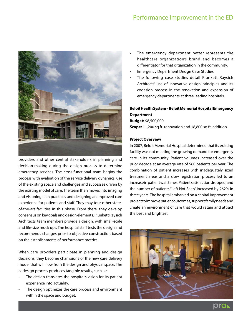

providers and other central stakeholders in planning and decision-making during the design process to determine emergency services. The cross-functional team begins the process with evaluation of the service delivery dynamics, use of the existing space and challenges and successes driven by the existing model of care. The team then moves into imaging and visioning lean practices and designing an improved care experience for patients and staff. They may tour other stateof-the-art facilities in this phase. From there, they develop consensus on key goals and design elements. Plunkett Raysich Architects' team members provide a design, with small-scale and life-size mock ups. The hospital staff tests the design and recommends changes prior to objective construction based on the establishments of performance metrics.

When care providers participate in planning and design decisions, they become champions of the new care delivery model that will flow from the design and physical space. The codesign process produces tangible results, such as:

- The design translates the hospital's vision for its patient experience into actuality.
- The design optimizes the care process and environment within the space and budget.
- The emergency department better represents the healthcare organization's brand and becomes a differentiator for that organization in the community.
- Emergency Department Design Case Studies
- The following case studies detail Plunkett Raysich Architects' use of innovative design principles and its codesign process in the renovation and expansion of emergency departments at three leading hospitals.

# **Beloit Health System – Beloit Memorial Hospital Emergency Department**

**Budget:** \$8,500,000 **Scope:** 11,200 sq.ft. renovation and 18,800 sq.ft. addition

#### **Project Overview**

In 2007, Beloit Memorial Hospital determined that its existing facility was not meeting the growing demand for emergency care in its community. Patient volumes increased over the prior decade at an average rate of 560 patients per year. The combination of patient increases with inadequately sized treatment areas and a slow registration process led to an increase in patient wait times. Patient satisfaction dropped, and the number of patients "Left Not Seen" increased by 262% in three years. The hospital embarked on a capital improvement project to improve patient outcomes, support family needs and create an environment of care that would retain and attract the best and brightest.

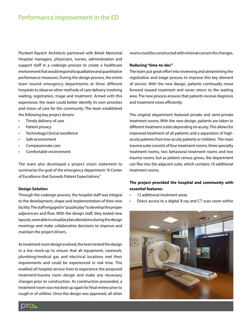Plunkett Raysich Architects partnered with Beloit Memorial Hospital managers, physicians, nurses, administration and support staff in a codesign process to create a healthcare environment that would respond to qualitative and quantitative performance measures. During the design process, the entire team toured emergency departments at three different hospitals to observe other methods of care delivery involving waiting, registration, triage and treatment. Armed with this experience, the team could better identify its own priorities and vision of care for the community. The team established the following key project drivers:

- Timely delivery of care
- Patient privacy
- Technology/clinical excellence
- Safe environment
- Compassionate care
- Comfortable environment

The team also developed a project vision statement to summarize the goal of the emergency department: "A Center of Excellence that Exceeds Patient Expectations."

#### **Design Solution**

Through the codesign process, the hospital staff was integral to the development, shape and implementation of their new facility. The staff engaged in "puzzle play" to develop the proper adjacencies and flow. With the design staff, they tested new layouts, were able to visualize plan alterations during the design meetings and make collaborative decisions to improve and maintain the project drivers.

As treatment room design evolved, the team tested the design in a live mock-up to ensure that all equipment, casework, plumbing/medical gas and electrical locations met their requirements and could be experienced in real time. This enabled all hospital service lines to experience the proposed treatment/trauma room design and make any necessary changes prior to construction. As construction proceeded, a treatment room was mocked-up again for final review prior to rough-in of utilities. Once the design was approved, all other

rooms could be constructed with minimal concern for changes.

#### **Reducing "time-to-doc"**

The team put great effort into reviewing and streamlining the registration and triage process to improve this key element of service. With the new design, patients continually move forward toward treatment and never return to the waiting area. The new process ensures that patients receive diagnosis and treatment more efficiently.

The original department featured private and semi-private treatment rooms. With the new design, patients are taken to different treatment suites depending on acuity. This allows for improved treatment of all patients and a separation of highacuity patients from low-acuity patients or children. The main trauma suite consists of four treatment rooms, three specialty treatment rooms, two behavioral treatment rooms and two trauma rooms, but as patient census grows, the department can flex into the adjacent suite, which contains 10 additional treatment rooms.

### **The project provided the hospital and community with essential features:**

- 12 additional treatment areas
- Direct access to a digital X-ray and CT scan room within



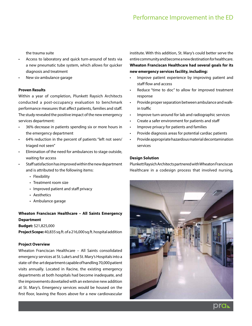the trauma suite

- Access to laboratory and quick turn-around of tests via a new pneumatic tube system, which allows for quicker diagnosis and treatment
- New six-ambulance garage

#### **Proven Results**

Within a year of completion, Plunkett Raysich Architects conducted a post-occupancy evaluation to benchmark performance measures that affect patients, families and staff. The study revealed the positive impact of the new emergency services department:

- 36% decrease in patients spending six or more hours in the emergency department
- 64% reduction in the percent of patients "left not seen/ triaged not seen"
- Elimination of the need for ambulances to stage outside, waiting for access
- Staff satisfaction has improved within the new department and is attributed to the following items:
	- Flexibility
	- Treatment room size
	- Improved patient and staff privacy
	- Aesthetics
	- Ambulance garage

# **Wheaton Franciscan Healthcare – All Saints Emergency Department**

**Budget:** \$21,825,000

**Project Scope:** 40,835 sq.ft. of a 216,000 sq.ft. hospital addition

#### **Project Overview**

Wheaton Franciscan Healthcare – All Saints consolidated emergency services at St. Luke's and St. Mary's Hospitals into a state-of-the-art department capable of handling 70,000 patient visits annually. Located in Racine, the existing emergency departments at both hospitals had become inadequate, and the improvements dovetailed with an extensive new addition at St. Mary's. Emergency services would be housed on the first floor, leaving the floors above for a new cardiovascular

institute. With this addition, St. Mary's could better serve the entire community and become a new destination for healthcare. **Wheaton Franciscan Healthcare had several goals for its new emergency services facility, including:**

- Improve patient experience by improving patient and staff flow and access
- Reduce "time to doc" to allow for improved treatment response
- Provide proper separation between ambulance and walkin traffic
- Improve turn-around for lab and radiographic services
- Create a safer environment for patients and staff
- Improve privacy for patients and families
- Provide diagnosis areas for potential cardiac patients
- Provide appropriate hazardous material decontamination services

#### **Design Solution**

Plunkett Raysich Architects partnered with Wheaton Franciscan Healthcare in a codesign process that involved nursing,

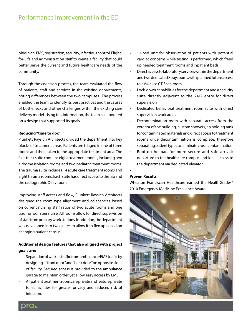# Performance Improvement in the ED

physician, EMS, registration, security, infectious control, Flightfor-Life and administration staff to create a facility that could better serve the current and future healthcare needs of the community.

Through the codesign process, the team evaluated the flow of patients, staff and services in the existing departments, noting differences between the two campuses. The process enabled the team to identify its best practices and the causes of bottlenecks and other challenges within the existing care delivery model. Using this information, the team collaborated on a design that supported its goals.

#### **Reducing "time to doc"**

Plunkett Raysich Architects divided the department into key blocks of treatment areas. Patients are triaged in one of three rooms and then taken to the appropriate treatment area. The fast-track suite contains eight treatment rooms, including two airborne isolation rooms and two pediatric treatment rooms. The trauma suite includes 14 acute care treatment rooms and eight trauma rooms. Each suite has direct access to the lab and the radiographic X-ray room.

Improving staff access and flow, Plunkett Raysich Architects designed the room-type alignment and adjacencies based on current nursing staff ratios of two acute rooms and one trauma room per nurse. All rooms allow for direct supervision of staff from primary work stations. In addition, the department was developed into two suites to allow it to flex up based on changing patient census.

## **Additional design features that also aligned with project goals are:**

- Separation of walk-in traffic from ambulance/EMS traffic by designing a "front door" and "back door" on opposite sides of facility. Secured access is provided to the ambulance garage to maintain order yet allow easy access by EMS.
- All patient treatment rooms are private and feature private toilet facilities for greater privacy and reduced risk of infection.
- 12-bed unit for observation of patients with potential cardiac concerns while testing is performed, which freed up needed treatment rooms and inpatient beds
- Direct access to laboratory services within the department and two dedicated X-ray rooms, with planned future access to a 64-slice CT Scan room
- Lock-down capabilities for the department and a security suite directly adjacent to the 24/7 entry for direct supervision
- Dedicated behavioral treatment room suite with direct supervision work areas
- Decontamination room with separate access from the exterior of the building, custom showers, an holding tank for contaminated materials and direct access to treatment rooms once decontamination is complete, therefore separating patient types to eliminate cross-contamination.
- Rooftop helipad for more secure and safe arrival/ departure to the healthcare campus and ideal access to the department via dedicated elevator.

#### **Proven Results**

**•** 

Wheaton Franciscan Healthcare earned the HealthGrades® 2010 Emergency Medicine Excellence Award.

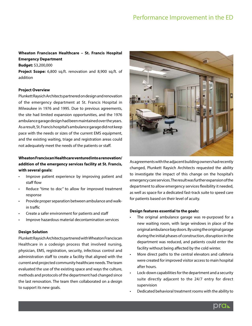# **Wheaton Franciscan Healthcare – St. Francis Hospital Emergency Department**

**Budget:** \$3,200,000

**Project Scope:** 6,800 sq.ft. renovation and 8,900 sq.ft. of addition

#### **Project Overview**

Plunkett Raysich Architects partnered on design and renovation of the emergency department at St. Francis Hospital in Milwaukee in 1976 and 1995. Due to previous agreements, the site had limited expansion opportunities, and the 1976 ambulance garage design had been maintained over the years. As a result, St. Francis hospital's ambulance garage did not keep pace with the needs or sizes of the current EMS equipment, and the existing waiting, triage and registration areas could not adequately meet the needs of the patients or staff.

# **Wheaton Franciscan Healthcare ventured into a renovation/ addition of the emergency services facility at St. Francis, with several goals:**

- Improve patient experience by improving patient and staff flow
- Reduce "time to doc" to allow for improved treatment response
- Provide proper separation between ambulance and walkin traffic
- Create a safer environment for patients and staff
- Improve hazardous material decontamination services

#### **Design Solution**

Plunkett Raysich Architects partnered with Wheaton Franciscan Healthcare in a codesign process that involved nursing, physician, EMS, registration, security, infectious control and administration staff to create a facility that aligned with the current and projected community healthcare needs. The team evaluated the use of the existing space and ways the culture, methods and protocols of the department had changed since the last renovation. The team then collaborated on a design to support its new goals.



As agreements with the adjacent building owners had recently changed, Plunkett Raysich Architects requested the ability to investigate the impact of this change on the hospital's emergency care services. The result was further expansion of the department to allow emergency services flexibility it needed, as well as space for a dedicated fast-track suite to speed care for patients based on their level of acuity.

#### **Design features essential to the goals:**

- The original ambulance garage was re-purposed for a new waiting room, with large windows in place of the original ambulance bay doors. By using the original garage during the initial phases of construction, disruption in the department was reduced, and patients could enter the facility without being affected by the cold winter.
- More direct paths to the central elevators and cafeteria were created for improved visitor access to main hospital after hours.
- Lock-down capabilities for the department and a security suite directly adjacent to the 24/7 entry for direct supervision
- Dedicated behavioral treatment rooms with the ability to